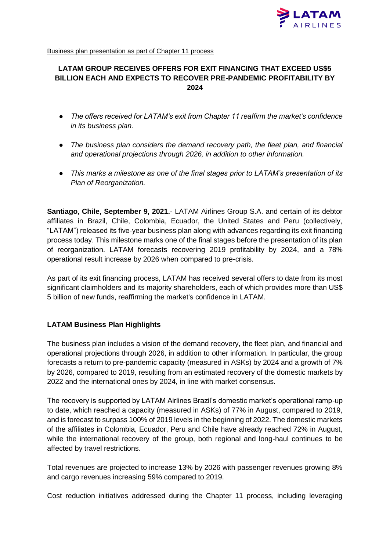

Business plan presentation as part of Chapter 11 process

# **LATAM GROUP RECEIVES OFFERS FOR EXIT FINANCING THAT EXCEED US\$5 BILLION EACH AND EXPECTS TO RECOVER PRE-PANDEMIC PROFITABILITY BY 2024**

- *The offers received for LATAM's exit from Chapter 11 reaffirm the market's confidence in its business plan.*
- The business plan considers the demand recovery path, the fleet plan, and financial *and operational projections through 2026, in addition to other information.*
- *This marks a milestone as one of the final stages prior to LATAM's presentation of its Plan of Reorganization.*

**Santiago, Chile, September 9, 2021.**- LATAM Airlines Group S.A. and certain of its debtor affiliates in Brazil, Chile, Colombia, Ecuador, the United States and Peru (collectively, "LATAM") released its five-year business plan along with advances regarding its exit financing process today. This milestone marks one of the final stages before the presentation of its plan of reorganization. LATAM forecasts recovering 2019 profitability by 2024, and a 78% operational result increase by 2026 when compared to pre-crisis.

As part of its exit financing process, LATAM has received several offers to date from its most significant claimholders and its majority shareholders, each of which provides more than US\$ 5 billion of new funds, reaffirming the market's confidence in LATAM.

# **LATAM Business Plan Highlights**

The business plan includes a vision of the demand recovery, the fleet plan, and financial and operational projections through 2026, in addition to other information. In particular, the group forecasts a return to pre-pandemic capacity (measured in ASKs) by 2024 and a growth of 7% by 2026, compared to 2019, resulting from an estimated recovery of the domestic markets by 2022 and the international ones by 2024, in line with market consensus.

The recovery is supported by LATAM Airlines Brazil's domestic market's operational ramp-up to date, which reached a capacity (measured in ASKs) of 77% in August, compared to 2019, and is forecast to surpass 100% of 2019 levels in the beginning of 2022. The domestic markets of the affiliates in Colombia, Ecuador, Peru and Chile have already reached 72% in August, while the international recovery of the group, both regional and long-haul continues to be affected by travel restrictions.

Total revenues are projected to increase 13% by 2026 with passenger revenues growing 8% and cargo revenues increasing 59% compared to 2019.

Cost reduction initiatives addressed during the Chapter 11 process, including leveraging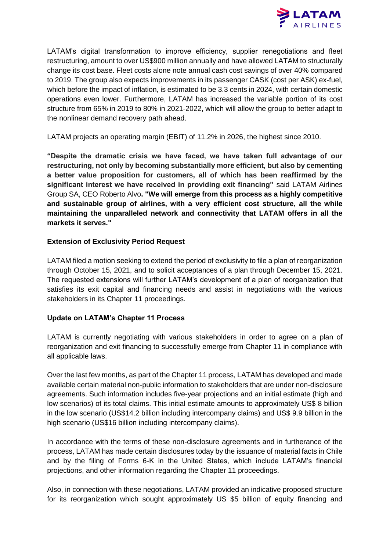

LATAM's digital transformation to improve efficiency, supplier renegotiations and fleet restructuring, amount to over US\$900 million annually and have allowed LATAM to structurally change its cost base. Fleet costs alone note annual cash cost savings of over 40% compared to 2019. The group also expects improvements in its passenger CASK (cost per ASK) ex-fuel, which before the impact of inflation, is estimated to be 3.3 cents in 2024, with certain domestic operations even lower. Furthermore, LATAM has increased the variable portion of its cost structure from 65% in 2019 to 80% in 2021-2022, which will allow the group to better adapt to the nonlinear demand recovery path ahead.

LATAM projects an operating margin (EBIT) of 11.2% in 2026, the highest since 2010.

**"Despite the dramatic crisis we have faced, we have taken full advantage of our restructuring, not only by becoming substantially more efficient, but also by cementing a better value proposition for customers, all of which has been reaffirmed by the significant interest we have received in providing exit financing"** said LATAM Airlines Group SA, CEO Roberto Alvo**. "We will emerge from this process as a highly competitive and sustainable group of airlines, with a very efficient cost structure, all the while maintaining the unparalleled network and connectivity that LATAM offers in all the markets it serves."** 

### **Extension of Exclusivity Period Request**

LATAM filed a motion seeking to extend the period of exclusivity to file a plan of reorganization through October 15, 2021, and to solicit acceptances of a plan through December 15, 2021. The requested extensions will further LATAM's development of a plan of reorganization that satisfies its exit capital and financing needs and assist in negotiations with the various stakeholders in its Chapter 11 proceedings.

# **Update on LATAM's Chapter 11 Process**

LATAM is currently negotiating with various stakeholders in order to agree on a plan of reorganization and exit financing to successfully emerge from Chapter 11 in compliance with all applicable laws.

Over the last few months, as part of the Chapter 11 process, LATAM has developed and made available certain material non-public information to stakeholders that are under non-disclosure agreements. Such information includes five-year projections and an initial estimate (high and low scenarios) of its total claims. This initial estimate amounts to approximately US\$ 8 billion in the low scenario (US\$14.2 billion including intercompany claims) and US\$ 9.9 billion in the high scenario (US\$16 billion including intercompany claims).

In accordance with the terms of these non-disclosure agreements and in furtherance of the process, LATAM has made certain disclosures today by the issuance of material facts in Chile and by the filing of Forms 6-K in the United States, which include LATAM's financial projections, and other information regarding the Chapter 11 proceedings.

Also, in connection with these negotiations, LATAM provided an indicative proposed structure for its reorganization which sought approximately US \$5 billion of equity financing and